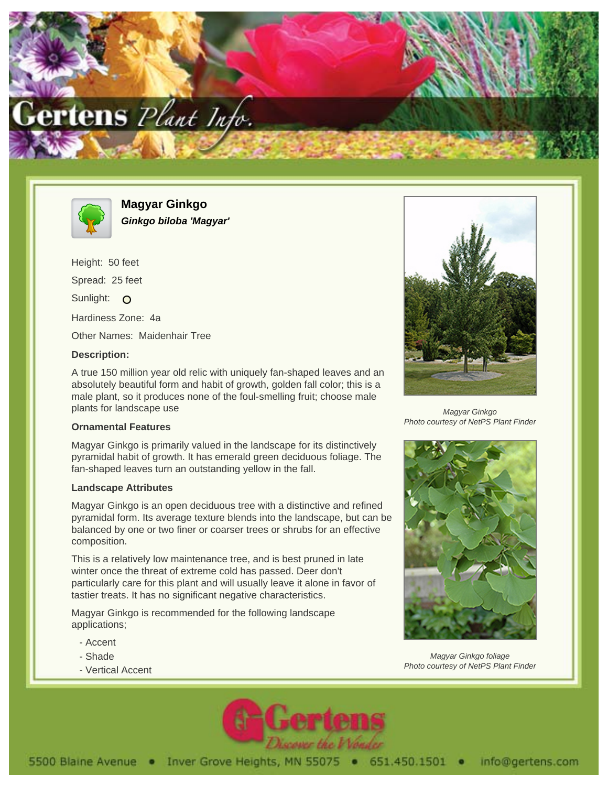



**Magyar Ginkgo Ginkgo biloba 'Magyar'**

Height: 50 feet Spread: 25 feet Sunlight: O Hardiness Zone: 4a Other Names: Maidenhair Tree

## **Description:**

A true 150 million year old relic with uniquely fan-shaped leaves and an absolutely beautiful form and habit of growth, golden fall color; this is a male plant, so it produces none of the foul-smelling fruit; choose male plants for landscape use

## **Ornamental Features**

Magyar Ginkgo is primarily valued in the landscape for its distinctively pyramidal habit of growth. It has emerald green deciduous foliage. The fan-shaped leaves turn an outstanding yellow in the fall.

## **Landscape Attributes**

Magyar Ginkgo is an open deciduous tree with a distinctive and refined pyramidal form. Its average texture blends into the landscape, but can be balanced by one or two finer or coarser trees or shrubs for an effective composition.

This is a relatively low maintenance tree, and is best pruned in late winter once the threat of extreme cold has passed. Deer don't particularly care for this plant and will usually leave it alone in favor of tastier treats. It has no significant negative characteristics.

Magyar Ginkgo is recommended for the following landscape applications;

- Accent
- Shade
- Vertical Accent



Magyar Ginkgo Photo courtesy of NetPS Plant Finder



Magyar Ginkgo foliage Photo courtesy of NetPS Plant Finder